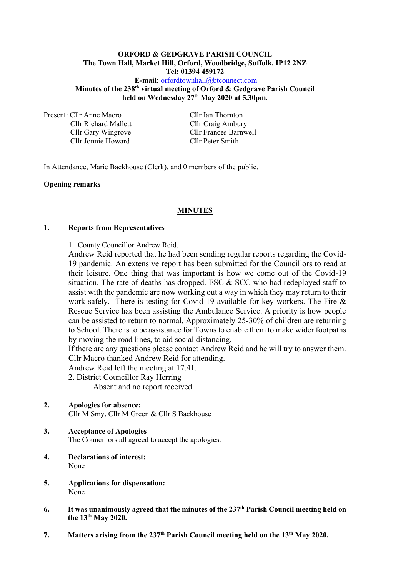#### **ORFORD & GEDGRAVE PARISH COUNCIL The Town Hall, Market Hill, Orford, Woodbridge, Suffolk. IP12 2NZ Tel: 01394 459172 E-mail:** [orfordtownhall@btconnect.com](mailto:orfordtownhall@btconnect.com)

**Minutes of the 238 th virtual meeting of Orford & Gedgrave Parish Council held on Wednesday 27th May 2020 at 5.30pm***.*

Present: Cllr Anne Macro Cllr Ian Thornton Cllr Richard Mallett Cllr Craig Ambury Cllr Jonnie Howard Cllr Peter Smith

Cllr Gary Wingrove Cllr Frances Barnwell

In Attendance, Marie Backhouse (Clerk), and 0 members of the public.

#### **Opening remarks**

#### **MINUTES**

#### **1. Reports from Representatives**

1. County Councillor Andrew Reid.

Andrew Reid reported that he had been sending regular reports regarding the Covid-19 pandemic. An extensive report has been submitted for the Councillors to read at their leisure. One thing that was important is how we come out of the Covid-19 situation. The rate of deaths has dropped. ESC & SCC who had redeployed staff to assist with the pandemic are now working out a way in which they may return to their work safely. There is testing for Covid-19 available for key workers. The Fire & Rescue Service has been assisting the Ambulance Service. A priority is how people can be assisted to return to normal. Approximately 25-30% of children are returning to School. There is to be assistance for Towns to enable them to make wider footpaths by moving the road lines, to aid social distancing.

If there are any questions please contact Andrew Reid and he will try to answer them. Cllr Macro thanked Andrew Reid for attending.

Andrew Reid left the meeting at 17.41.

2. District Councillor Ray Herring

Absent and no report received.

- **2. Apologies for absence:** Cllr M Smy, Cllr M Green & Cllr S Backhouse
- **3. Acceptance of Apologies** The Councillors all agreed to accept the apologies.
- **4. Declarations of interest:** None
- **5. Applications for dispensation:** None
- **6.** It was unanimously agreed that the minutes of the 237<sup>th</sup> Parish Council meeting held on **the 13th May 2020.**
- **7. Matters arising from the 237 th Parish Council meeting held on the 13 th May 2020.**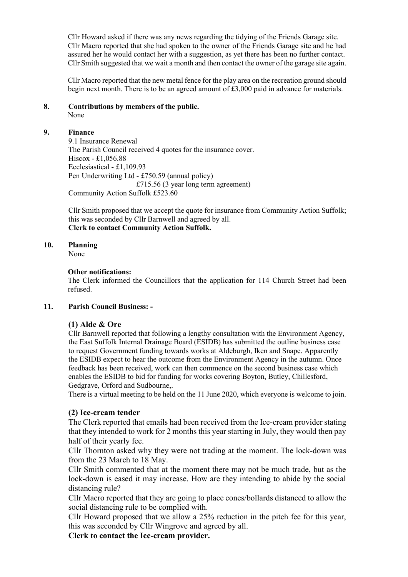Cllr Howard asked if there was any news regarding the tidying of the Friends Garage site. Cllr Macro reported that she had spoken to the owner of the Friends Garage site and he had assured her he would contact her with a suggestion, as yet there has been no further contact. Cllr Smith suggested that we wait a month and then contact the owner of the garage site again.

Cllr Macro reported that the new metal fence for the play area on the recreation ground should begin next month. There is to be an agreed amount of  $\text{\pounds}3,000$  paid in advance for materials.

# **8. Contributions by members of the public.**

None

## **9. Finance**

9.1 Insurance Renewal The Parish Council received 4 quotes for the insurance cover. Hiscox - £1,056.88 Ecclesiastical - £1,109.93 Pen Underwriting Ltd - £750.59 (annual policy) £715.56 (3 year long term agreement) Community Action Suffolk £523.60

Cllr Smith proposed that we accept the quote for insurance from Community Action Suffolk; this was seconded by Cllr Barnwell and agreed by all. **Clerk to contact Community Action Suffolk.**

## **10. Planning**

None

## **Other notifications:**

The Clerk informed the Councillors that the application for 114 Church Street had been refused.

## **11. Parish Council Business: -**

# **(1) Alde & Ore**

Cllr Barnwell reported that following a lengthy consultation with the Environment Agency, the East Suffolk Internal Drainage Board (ESIDB) has submitted the outline business case to request Government funding towards works at Aldeburgh, Iken and Snape. Apparently the ESIDB expect to hear the outcome from the Environment Agency in the autumn. Once feedback has been received, work can then commence on the second business case which enables the ESIDB to bid for funding for works covering Boyton, Butley, Chillesford, Gedgrave, Orford and Sudbourne,.

There is a virtual meeting to be held on the 11 June 2020, which everyone is welcome to join.

# **(2) Ice-cream tender**

The Clerk reported that emails had been received from the Ice-cream provider stating that they intended to work for 2 months this year starting in July, they would then pay half of their yearly fee.

Cllr Thornton asked why they were not trading at the moment. The lock-down was from the 23 March to 18 May.

Cllr Smith commented that at the moment there may not be much trade, but as the lock-down is eased it may increase. How are they intending to abide by the social distancing rule?

Cllr Macro reported that they are going to place cones/bollards distanced to allow the social distancing rule to be complied with.

Cllr Howard proposed that we allow a 25% reduction in the pitch fee for this year, this was seconded by Cllr Wingrove and agreed by all.

**Clerk to contact the Ice-cream provider.**